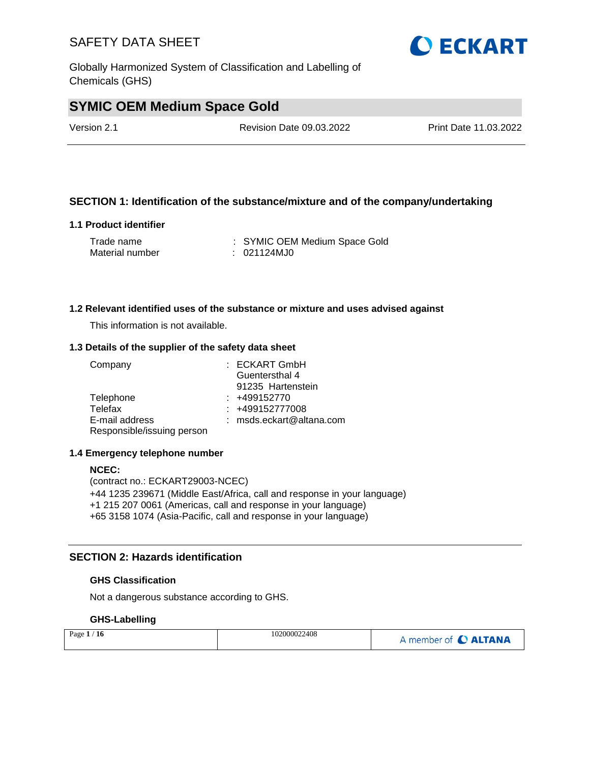Globally Harmonized System of Classification and Labelling of Chemicals (GHS)

# **SYMIC OEM Medium Space Gold**

Version 2.1 Revision Date 09.03.2022 Print Date 11.03.2022

#### **SECTION 1: Identification of the substance/mixture and of the company/undertaking**

#### **1.1 Product identifier**

| Trade name      | : SYMIC OEM Medium Space Gold |
|-----------------|-------------------------------|
| Material number | : 021124MJ0                   |

#### **1.2 Relevant identified uses of the substance or mixture and uses advised against**

This information is not available.

#### **1.3 Details of the supplier of the safety data sheet**

| Company                    | : ECKART GmbH              |
|----------------------------|----------------------------|
|                            | Guentersthal 4             |
|                            | 91235 Hartenstein          |
| Telephone                  | $: +499152770$             |
| Telefax                    | $: +499152777008$          |
| E-mail address             | $:$ msds.eckart@altana.com |
| Responsible/issuing person |                            |

#### **1.4 Emergency telephone number**

#### **NCEC:**

(contract no.: ECKART29003-NCEC) +44 1235 239671 (Middle East/Africa, call and response in your language) +1 215 207 0061 (Americas, call and response in your language) +65 3158 1074 (Asia-Pacific, call and response in your language)

#### **SECTION 2: Hazards identification**

#### **GHS Classification**

Not a dangerous substance according to GHS.

#### **GHS-Labelling**

| Page $1/16$ | 102000022408 | A member of C ALTANA |
|-------------|--------------|----------------------|
|-------------|--------------|----------------------|

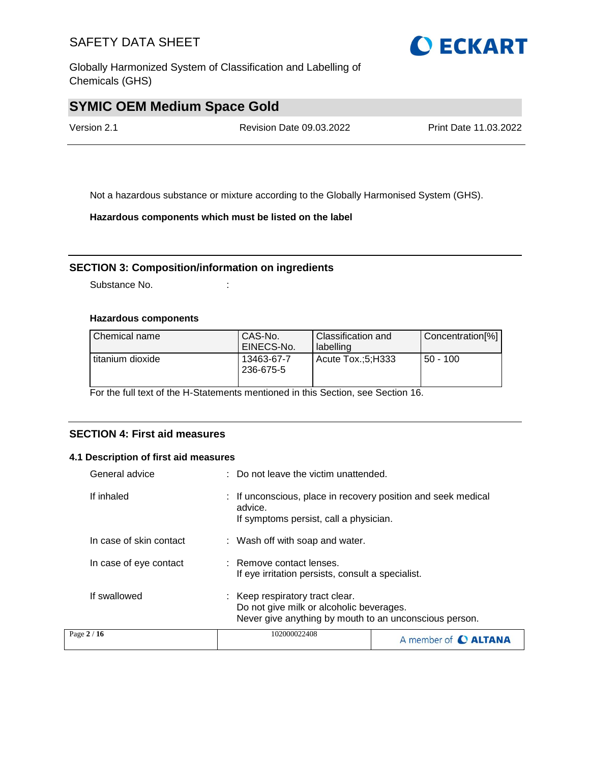Globally Harmonized System of Classification and Labelling of Chemicals (GHS)

# **SYMIC OEM Medium Space Gold**

Version 2.1 Revision Date 09.03.2022 Print Date 11.03.2022

Not a hazardous substance or mixture according to the Globally Harmonised System (GHS).

**Hazardous components which must be listed on the label**

#### **SECTION 3: Composition/information on ingredients**

Substance No. **:** :

#### **Hazardous components**

| Chemical name    | CAS-No.<br>EINECS-No.   | <b>Classification and</b><br>labelling | Concentration[%] |
|------------------|-------------------------|----------------------------------------|------------------|
| titanium dioxide | 13463-67-7<br>236-675-5 | Acute Tox.:5:H333                      | $50 - 100$       |

For the full text of the H-Statements mentioned in this Section, see Section 16.

#### **SECTION 4: First aid measures**

#### **4.1 Description of first aid measures**

| General advice          | : Do not leave the victim unattended.                                                                                                 |  |  |
|-------------------------|---------------------------------------------------------------------------------------------------------------------------------------|--|--|
| If inhaled              | : If unconscious, place in recovery position and seek medical<br>advice.<br>If symptoms persist, call a physician.                    |  |  |
| In case of skin contact | : Wash off with soap and water.                                                                                                       |  |  |
| In case of eye contact  | : Remove contact lenses.<br>If eye irritation persists, consult a specialist.                                                         |  |  |
| If swallowed            | : Keep respiratory tract clear.<br>Do not give milk or alcoholic beverages.<br>Never give anything by mouth to an unconscious person. |  |  |
| Page 2 / 16             | 102000022408<br>A member of <b>C ALTANA</b>                                                                                           |  |  |

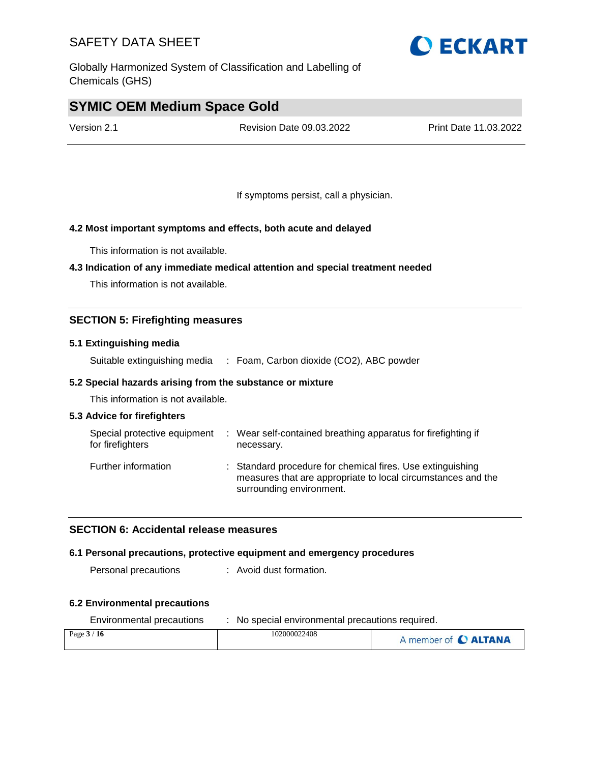Globally Harmonized System of Classification and Labelling of Chemicals (GHS)

# **SYMIC OEM Medium Space Gold**

Version 2.1 Revision Date 09.03.2022 Print Date 11.03.2022

If symptoms persist, call a physician.

#### **4.2 Most important symptoms and effects, both acute and delayed**

This information is not available.

#### **4.3 Indication of any immediate medical attention and special treatment needed**

This information is not available.

#### **SECTION 5: Firefighting measures**

#### **5.1 Extinguishing media**

Suitable extinguishing media : Foam, Carbon dioxide (CO2), ABC powder

#### **5.2 Special hazards arising from the substance or mixture**

This information is not available.

#### **5.3 Advice for firefighters**

| Special protective equipment<br>for firefighters | : Wear self-contained breathing apparatus for firefighting if<br>necessary.                                                                            |
|--------------------------------------------------|--------------------------------------------------------------------------------------------------------------------------------------------------------|
| Further information                              | : Standard procedure for chemical fires. Use extinguishing<br>measures that are appropriate to local circumstances and the<br>surrounding environment. |

#### **SECTION 6: Accidental release measures**

#### **6.1 Personal precautions, protective equipment and emergency procedures**

Personal precautions : Avoid dust formation.

#### **6.2 Environmental precautions**

| Environmental precautions | No special environmental precautions required. |                      |  |  |
|---------------------------|------------------------------------------------|----------------------|--|--|
| Page $3/16$               | 102000022408                                   | A member of C ALTANA |  |  |

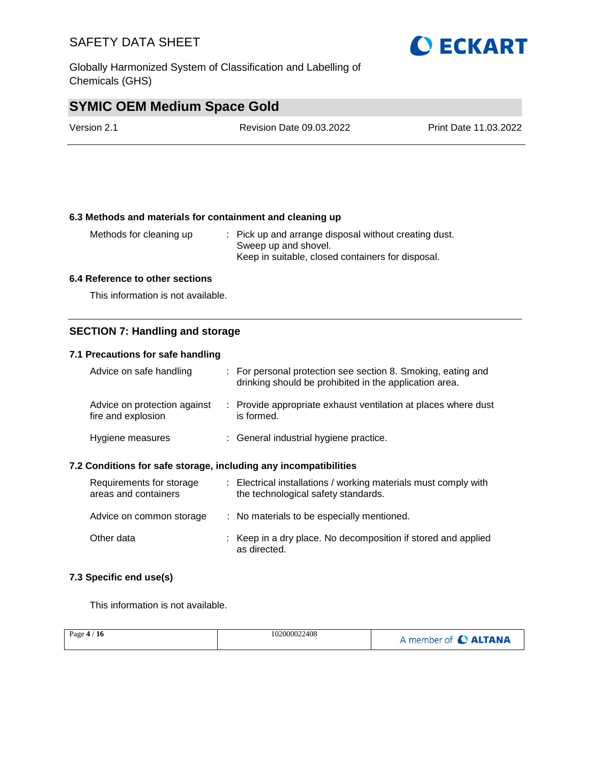Globally Harmonized System of Classification and Labelling of Chemicals (GHS)

# **SYMIC OEM Medium Space Gold**

| Version 2.1 | <b>Revision Date 09.03.2022</b> | Print Date 11.03.2022 |
|-------------|---------------------------------|-----------------------|
|             |                                 |                       |

#### **6.3 Methods and materials for containment and cleaning up**

Methods for cleaning up : Pick up and arrange disposal without creating dust. Sweep up and shovel. Keep in suitable, closed containers for disposal.

#### **6.4 Reference to other sections**

This information is not available.

#### **SECTION 7: Handling and storage**

#### **7.1 Precautions for safe handling**

| Advice on safe handling                            | : For personal protection see section 8. Smoking, eating and<br>drinking should be prohibited in the application area. |
|----------------------------------------------------|------------------------------------------------------------------------------------------------------------------------|
| Advice on protection against<br>fire and explosion | : Provide appropriate exhaust ventilation at places where dust<br>is formed.                                           |
| Hygiene measures                                   | : General industrial hygiene practice.                                                                                 |

#### **7.2 Conditions for safe storage, including any incompatibilities**

| Requirements for storage<br>areas and containers | : Electrical installations / working materials must comply with<br>the technological safety standards. |
|--------------------------------------------------|--------------------------------------------------------------------------------------------------------|
| Advice on common storage                         | : No materials to be especially mentioned.                                                             |
| Other data                                       | : Keep in a dry place. No decomposition if stored and applied<br>as directed.                          |

#### **7.3 Specific end use(s)**

This information is not available.

| Page $4/16$ | 102000022408 | A member of C ALTANA |
|-------------|--------------|----------------------|
|             |              |                      |

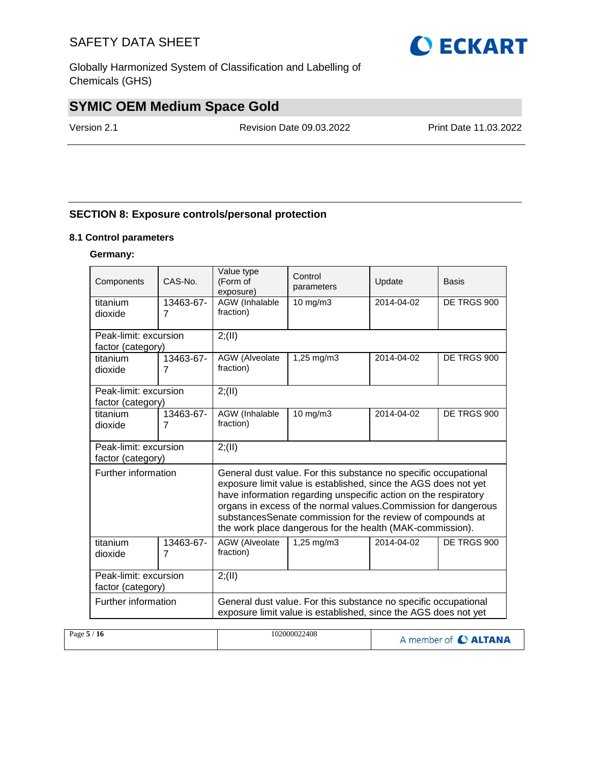Globally Harmonized System of Classification and Labelling of Chemicals (GHS)

# **SYMIC OEM Medium Space Gold**

Version 2.1 Revision Date 09.03.2022 Print Date 11.03.2022

#### **SECTION 8: Exposure controls/personal protection**

#### **8.1 Control parameters**

#### **Germany:**

| Components            | CAS-No.        | Value type<br>(Form of<br>exposure)                             | Control<br>parameters                                                                                                                                                                                                                                                                                                                                                                               | Update     | <b>Basis</b> |  |  |  |
|-----------------------|----------------|-----------------------------------------------------------------|-----------------------------------------------------------------------------------------------------------------------------------------------------------------------------------------------------------------------------------------------------------------------------------------------------------------------------------------------------------------------------------------------------|------------|--------------|--|--|--|
| titanium              | 13463-67-      | AGW (Inhalable                                                  | 10 mg/m3                                                                                                                                                                                                                                                                                                                                                                                            | 2014-04-02 | DE TRGS 900  |  |  |  |
| dioxide               | $\overline{7}$ | fraction)                                                       |                                                                                                                                                                                                                                                                                                                                                                                                     |            |              |  |  |  |
| Peak-limit: excursion |                | 2; (II)                                                         |                                                                                                                                                                                                                                                                                                                                                                                                     |            |              |  |  |  |
| factor (category)     |                |                                                                 |                                                                                                                                                                                                                                                                                                                                                                                                     |            |              |  |  |  |
| titanium              | 13463-67-      | AGW (Alveolate                                                  | 1,25 mg/m3                                                                                                                                                                                                                                                                                                                                                                                          | 2014-04-02 | DE TRGS 900  |  |  |  |
| dioxide               | $\overline{7}$ | fraction)                                                       |                                                                                                                                                                                                                                                                                                                                                                                                     |            |              |  |  |  |
| Peak-limit: excursion |                | 2; (II)                                                         |                                                                                                                                                                                                                                                                                                                                                                                                     |            |              |  |  |  |
| factor (category)     |                |                                                                 |                                                                                                                                                                                                                                                                                                                                                                                                     |            |              |  |  |  |
| titanium              | 13463-67-      | AGW (Inhalable                                                  | $10$ mg/m $3$                                                                                                                                                                                                                                                                                                                                                                                       | 2014-04-02 | DE TRGS 900  |  |  |  |
| dioxide               | $\overline{7}$ | fraction)                                                       |                                                                                                                                                                                                                                                                                                                                                                                                     |            |              |  |  |  |
| Peak-limit: excursion |                | 2; (II)                                                         |                                                                                                                                                                                                                                                                                                                                                                                                     |            |              |  |  |  |
| factor (category)     |                |                                                                 |                                                                                                                                                                                                                                                                                                                                                                                                     |            |              |  |  |  |
| Further information   |                |                                                                 | General dust value. For this substance no specific occupational<br>exposure limit value is established, since the AGS does not yet<br>have information regarding unspecific action on the respiratory<br>organs in excess of the normal values. Commission for dangerous<br>substancesSenate commission for the review of compounds at<br>the work place dangerous for the health (MAK-commission). |            |              |  |  |  |
| titanium              | 13463-67-      | AGW (Alveolate                                                  | 1,25 mg/m3                                                                                                                                                                                                                                                                                                                                                                                          | 2014-04-02 | DE TRGS 900  |  |  |  |
| dioxide               | $\overline{7}$ | fraction)                                                       |                                                                                                                                                                                                                                                                                                                                                                                                     |            |              |  |  |  |
| Peak-limit: excursion |                | 2; (II)                                                         |                                                                                                                                                                                                                                                                                                                                                                                                     |            |              |  |  |  |
| factor (category)     |                |                                                                 |                                                                                                                                                                                                                                                                                                                                                                                                     |            |              |  |  |  |
| Further information   |                | General dust value. For this substance no specific occupational |                                                                                                                                                                                                                                                                                                                                                                                                     |            |              |  |  |  |
|                       |                |                                                                 | exposure limit value is established, since the AGS does not yet                                                                                                                                                                                                                                                                                                                                     |            |              |  |  |  |
|                       |                |                                                                 |                                                                                                                                                                                                                                                                                                                                                                                                     |            |              |  |  |  |

| Page $5/16$ | 102000022408 | A member of C ALTANA |
|-------------|--------------|----------------------|
|             |              |                      |

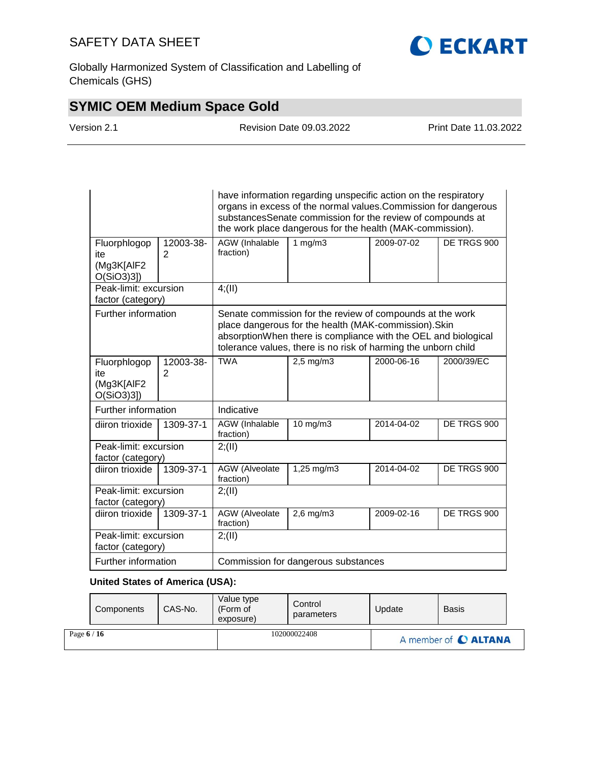

Globally Harmonized System of Classification and Labelling of Chemicals (GHS)

# **SYMIC OEM Medium Space Gold**

Version 2.1 Revision Date 09.03.2022 Print Date 11.03.2022

|                                                |                | have information regarding unspecific action on the respiratory<br>organs in excess of the normal values. Commission for dangerous<br>substancesSenate commission for the review of compounds at<br>the work place dangerous for the health (MAK-commission). |                |            |             |  |  |
|------------------------------------------------|----------------|---------------------------------------------------------------------------------------------------------------------------------------------------------------------------------------------------------------------------------------------------------------|----------------|------------|-------------|--|--|
| Fluorphlogop<br>ite<br>(Mg3K[AlF2<br>O(SiO3)3] | 12003-38-<br>2 | AGW (Inhalable<br>fraction)                                                                                                                                                                                                                                   | 1 mg/m3        | 2009-07-02 | DE TRGS 900 |  |  |
| Peak-limit: excursion<br>factor (category)     |                | 4(11)                                                                                                                                                                                                                                                         |                |            |             |  |  |
| Further information                            |                | Senate commission for the review of compounds at the work<br>place dangerous for the health (MAK-commission). Skin<br>absorptionWhen there is compliance with the OEL and biological<br>tolerance values, there is no risk of harming the unborn child        |                |            |             |  |  |
| Fluorphlogop<br>ite<br>(Mg3K[AlF2<br>O(SiO3)3] | 12003-38-<br>2 | <b>TWA</b>                                                                                                                                                                                                                                                    | $2,5$ mg/m $3$ | 2000-06-16 | 2000/39/EC  |  |  |
| Further information                            |                | Indicative                                                                                                                                                                                                                                                    |                |            |             |  |  |
| diiron trioxide                                | 1309-37-1      | AGW (Inhalable<br>fraction)                                                                                                                                                                                                                                   | 10 mg/m3       | 2014-04-02 | DE TRGS 900 |  |  |
| Peak-limit: excursion<br>factor (category)     |                | 2; (II)                                                                                                                                                                                                                                                       |                |            |             |  |  |
| diiron trioxide                                | 1309-37-1      | <b>AGW</b> (Alveolate<br>fraction)                                                                                                                                                                                                                            | 1,25 mg/m3     | 2014-04-02 | DE TRGS 900 |  |  |
| Peak-limit: excursion<br>factor (category)     |                | 2; (II)                                                                                                                                                                                                                                                       |                |            |             |  |  |
| diiron trioxide                                | 1309-37-1      | <b>AGW</b> (Alveolate<br>fraction)                                                                                                                                                                                                                            | $2,6$ mg/m $3$ | 2009-02-16 | DE TRGS 900 |  |  |
| Peak-limit: excursion<br>factor (category)     |                | 2; (II)                                                                                                                                                                                                                                                       |                |            |             |  |  |
| Further information                            |                | Commission for dangerous substances                                                                                                                                                                                                                           |                |            |             |  |  |

### **United States of America (USA):**

|             | Components | CAS-No. | Value type<br>(Form of<br>exposure) | Control<br>parameters | Update | <b>Basis</b>         |  |
|-------------|------------|---------|-------------------------------------|-----------------------|--------|----------------------|--|
| Page $6/16$ |            |         | 102000022408                        |                       |        | A member of C ALTANA |  |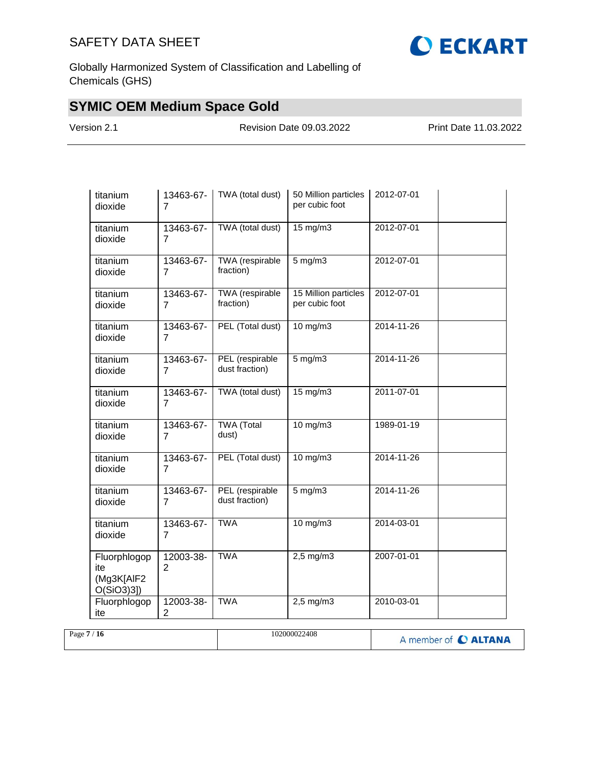

Globally Harmonized System of Classification and Labelling of Chemicals (GHS)

# **SYMIC OEM Medium Space Gold**

Version 2.1 Revision Date 09.03.2022 Print Date 11.03.2022

| titanium<br>dioxide                               | 13463-67-<br>7              | TWA (total dust)                  | 50 Million particles<br>per cubic foot | 2012-07-01 |  |
|---------------------------------------------------|-----------------------------|-----------------------------------|----------------------------------------|------------|--|
| titanium<br>dioxide                               | 13463-67-<br>7              | TWA (total dust)                  | 15 mg/m3                               | 2012-07-01 |  |
| titanium<br>dioxide                               | 13463-67-<br>7              | TWA (respirable<br>fraction)      | $5$ mg/m $3$                           | 2012-07-01 |  |
| titanium<br>dioxide                               | 13463-67-<br>$\overline{7}$ | TWA (respirable<br>fraction)      | 15 Million particles<br>per cubic foot | 2012-07-01 |  |
| titanium<br>dioxide                               | 13463-67-<br>7              | PEL (Total dust)                  | $10$ mg/m $3$                          | 2014-11-26 |  |
| titanium<br>dioxide                               | 13463-67-<br>7              | PEL (respirable<br>dust fraction) | $5 \text{ mg/m}$                       | 2014-11-26 |  |
| titanium<br>dioxide                               | 13463-67-<br>$\overline{7}$ | TWA (total dust)                  | $15 \text{ mg/m}$                      | 2011-07-01 |  |
| titanium<br>dioxide                               | 13463-67-<br>7              | <b>TWA</b> (Total<br>dust)        | $10$ mg/m $3$                          | 1989-01-19 |  |
| titanium<br>dioxide                               | 13463-67-<br>7              | PEL (Total dust)                  | 10 mg/m3                               | 2014-11-26 |  |
| titanium<br>dioxide                               | 13463-67-<br>$\overline{7}$ | PEL (respirable<br>dust fraction) | $5 \text{ mg/m}$                       | 2014-11-26 |  |
| titanium<br>dioxide                               | 13463-67-<br>7              | <b>TWA</b>                        | $10$ mg/m $3$                          | 2014-03-01 |  |
| Fluorphlogop<br>ite<br>(Mg3K[AlF2<br>$O(SiO3)3$ ] | 12003-38-<br>2              | <b>TWA</b>                        | $2,5$ mg/m $3$                         | 2007-01-01 |  |
| Fluorphlogop<br>ite                               | 12003-38-<br>2              | <b>TWA</b>                        | $2,5$ mg/m $3$                         | 2010-03-01 |  |

| Page $7/$<br>$^{\prime}$ 16 | 102000022408 | A member of C ALTANA |
|-----------------------------|--------------|----------------------|
|                             |              |                      |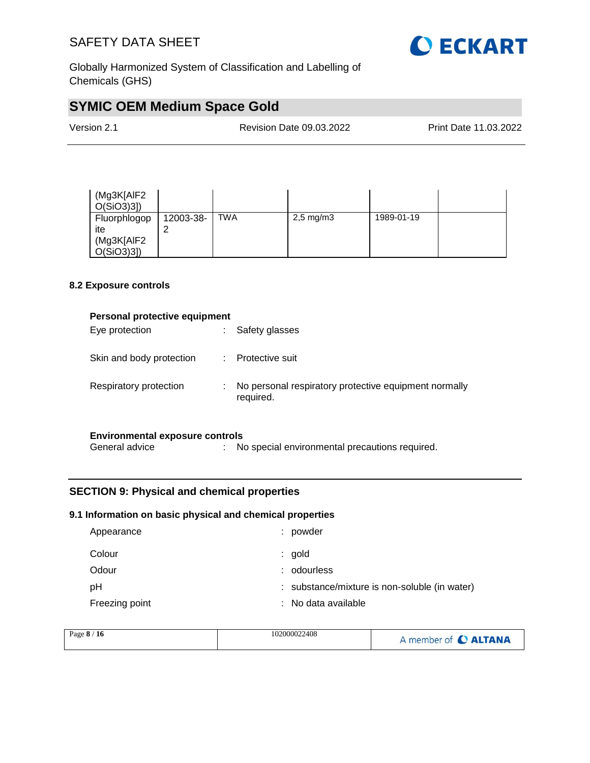

Globally Harmonized System of Classification and Labelling of Chemicals (GHS)

# **SYMIC OEM Medium Space Gold**

| Version 2.1 | <b>Revision Date 09.03.2022</b> | <b>Print Date 11.03.2022</b> |
|-------------|---------------------------------|------------------------------|
|             |                                 |                              |

| (Mg3K[AIF2<br>$O(SiO3)3$ ]                        |           |            |                      |            |  |
|---------------------------------------------------|-----------|------------|----------------------|------------|--|
| Fluorphlogop<br>ite<br>(Mg3K[AIF2<br>$O(SiO3)3$ ] | 12003-38- | <b>TWA</b> | $2,5 \text{ mg/m}$ 3 | 1989-01-19 |  |

#### **8.2 Exposure controls**

| Personal protective equipment                            |                                                                    |
|----------------------------------------------------------|--------------------------------------------------------------------|
| Eye protection                                           | Safety glasses                                                     |
| Skin and body protection                                 | : Protective suit                                                  |
| Respiratory protection                                   | No personal respiratory protective equipment normally<br>required. |
| <b>Environmental exposure controls</b><br>General advice | No special environmental precautions required.                     |

#### **SECTION 9: Physical and chemical properties**

#### **9.1 Information on basic physical and chemical properties**

| Appearance     | ÷. | powder                                        |
|----------------|----|-----------------------------------------------|
| Colour         |    | $:$ gold                                      |
| Odour          | ÷. | odourless                                     |
| рH             |    | : substance/mixture is non-soluble (in water) |
| Freezing point |    | : No data available                           |

| Page 8 / 16 | 102000022408 | A member of C ALTANA |
|-------------|--------------|----------------------|
|             |              |                      |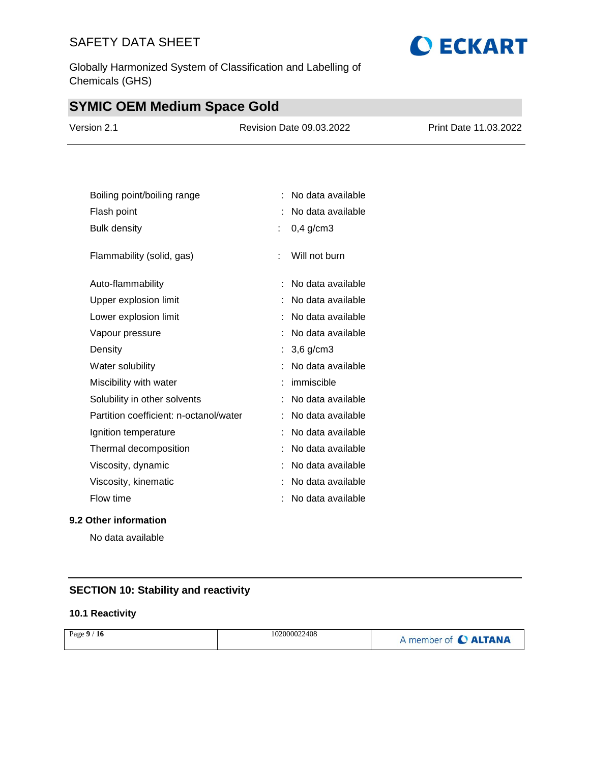Globally Harmonized System of Classification and Labelling of Chemicals (GHS)

# **SYMIC OEM Medium Space Gold**

| Version 2.1 | <b>Revision Date 09.03.2022</b> | <b>Print Date 11.03.2022</b> |
|-------------|---------------------------------|------------------------------|
|             |                                 |                              |

| Boiling point/boiling range            |   | No data available |
|----------------------------------------|---|-------------------|
| Flash point                            |   | No data available |
| <b>Bulk density</b>                    | ÷ | $0,4$ g/cm3       |
| Flammability (solid, gas)              | ۹ | Will not burn     |
| Auto-flammability                      |   | No data available |
| Upper explosion limit                  |   | No data available |
| Lower explosion limit                  |   | No data available |
| Vapour pressure                        |   | No data available |
| Density                                |   | $3,6$ g/cm $3$    |
| Water solubility                       |   | No data available |
| Miscibility with water                 |   | immiscible        |
| Solubility in other solvents           |   | No data available |
| Partition coefficient: n-octanol/water |   | No data available |
| Ignition temperature                   |   | No data available |
| Thermal decomposition                  |   | No data available |
| Viscosity, dynamic                     |   | No data available |
| Viscosity, kinematic                   |   | No data available |
| Flow time                              |   | No data available |
|                                        |   |                   |

#### **9.2 Other information**

No data available

### **SECTION 10: Stability and reactivity**

#### **10.1 Reactivity**

| Page $9/16$ | 102000022408 | A member of <b>C ALTANA</b> |
|-------------|--------------|-----------------------------|
|-------------|--------------|-----------------------------|

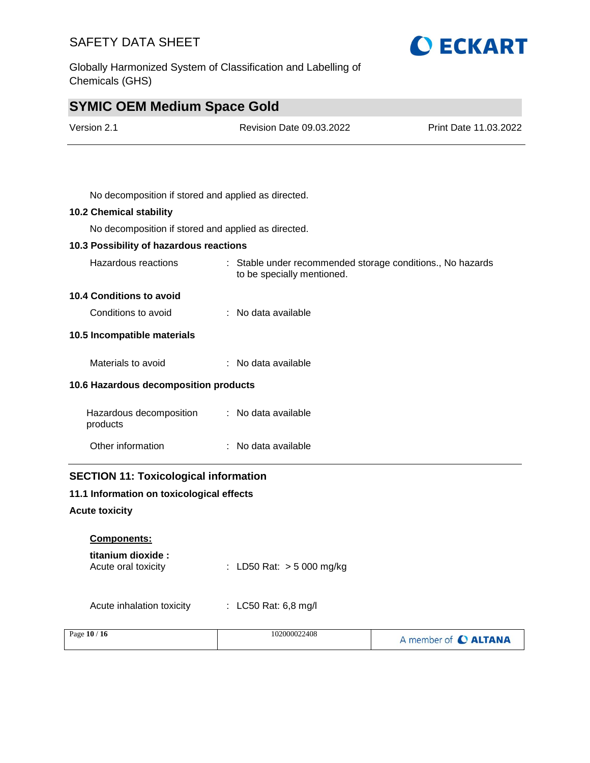Globally Harmonized System of Classification and Labelling of Chemicals (GHS)

# **SYMIC OEM Medium Space Gold**

| Version 2.1                                         | <b>Revision Date 09.03.2022</b>                                                          | Print Date 11.03.2022 |
|-----------------------------------------------------|------------------------------------------------------------------------------------------|-----------------------|
|                                                     |                                                                                          |                       |
| No decomposition if stored and applied as directed. |                                                                                          |                       |
| <b>10.2 Chemical stability</b>                      |                                                                                          |                       |
| No decomposition if stored and applied as directed. |                                                                                          |                       |
| 10.3 Possibility of hazardous reactions             |                                                                                          |                       |
| Hazardous reactions                                 | : Stable under recommended storage conditions., No hazards<br>to be specially mentioned. |                       |
| 10.4 Conditions to avoid                            |                                                                                          |                       |
| Conditions to avoid                                 | : No data available                                                                      |                       |
| 10.5 Incompatible materials                         |                                                                                          |                       |
| Materials to avoid                                  | : No data available                                                                      |                       |
| 10.6 Hazardous decomposition products               |                                                                                          |                       |
| Hazardous decomposition<br>products                 | : No data available                                                                      |                       |
| Other information                                   | : No data available                                                                      |                       |
| <b>SECTION 11: Toxicological information</b>        |                                                                                          |                       |
| 11.1 Information on toxicological effects           |                                                                                          |                       |

**O ECKART** 

**Acute toxicity**

#### **Components:**

| titanium dioxide :  |                             |
|---------------------|-----------------------------|
| Acute oral toxicity | : LD50 Rat: $>$ 5 000 mg/kg |

Acute inhalation toxicity : LC50 Rat: 6,8 mg/l

| Page 10 / 16 | 102000022408 | A member of C ALTANA |
|--------------|--------------|----------------------|
|              |              |                      |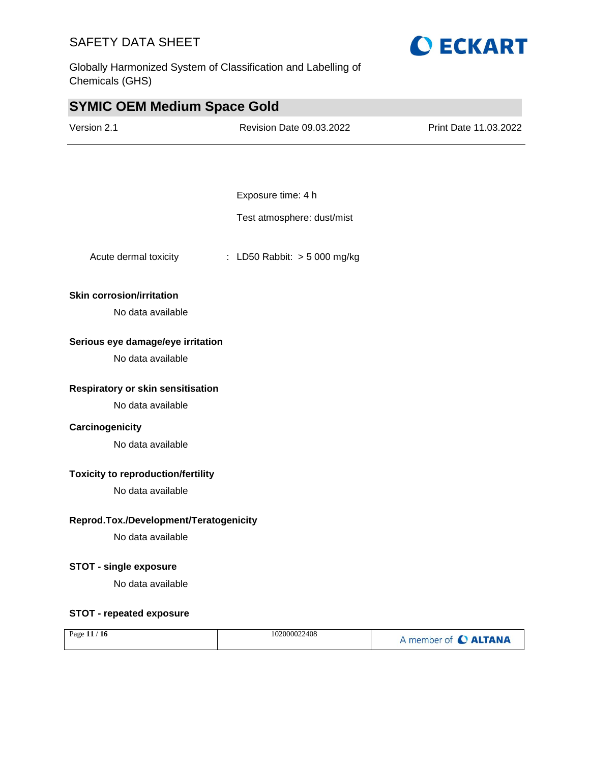Globally Harmonized System of Classification and Labelling of Chemicals (GHS)



#### **Toxicity to reproduction/fertility**

No data available

#### **Reprod.Tox./Development/Teratogenicity**

No data available

#### **STOT - single exposure**

No data available

#### **STOT - repeated exposure**

| Page $11/16$ | 102000022408 | A member of C ALTANA |
|--------------|--------------|----------------------|
|--------------|--------------|----------------------|



#### **Skin corrosion/irritation**

#### **Serious eye damage/eye irritation**

### **Carcinogenicity**

No data available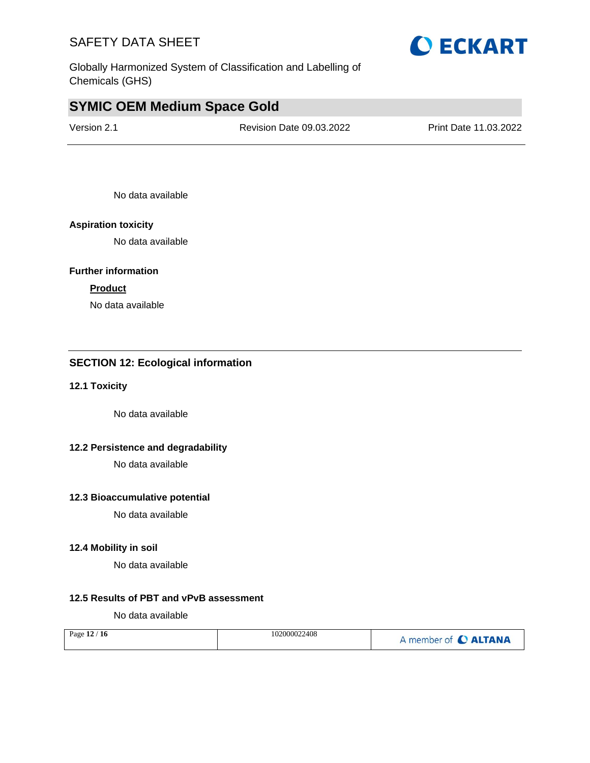Globally Harmonized System of Classification and Labelling of Chemicals (GHS)

# **SYMIC OEM Medium Space Gold**

Version 2.1 Revision Date 09.03.2022 Print Date 11.03.2022

No data available

#### **Aspiration toxicity**

No data available

#### **Further information**

#### **Product**

No data available

#### **SECTION 12: Ecological information**

#### **12.1 Toxicity**

No data available

#### **12.2 Persistence and degradability**

No data available

#### **12.3 Bioaccumulative potential**

No data available

#### **12.4 Mobility in soil**

No data available

#### **12.5 Results of PBT and vPvB assessment**

No data available

| Page 12 / 16 | 102000022408 | A member of C ALTANA |
|--------------|--------------|----------------------|
|--------------|--------------|----------------------|

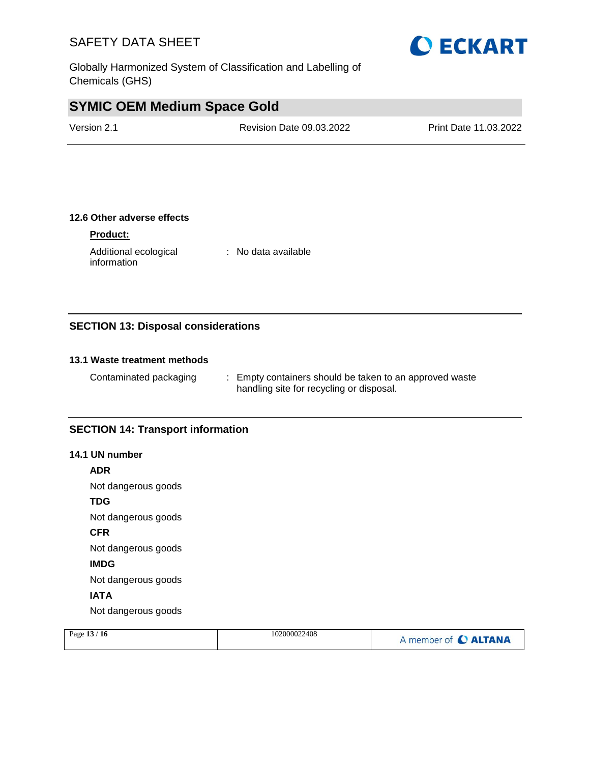Globally Harmonized System of Classification and Labelling of Chemicals (GHS)

# **SYMIC OEM Medium Space Gold**

| Version 2.1 | <b>Revision Date 09.03.2022</b> | Print Date 11.03.2022 |
|-------------|---------------------------------|-----------------------|
|             |                                 |                       |

#### **12.6 Other adverse effects**

#### **Product:**

Additional ecological information : No data available

#### **SECTION 13: Disposal considerations**

#### **13.1 Waste treatment methods**

Contaminated packaging : Empty containers should be taken to an approved waste handling site for recycling or disposal.

#### **SECTION 14: Transport information**

#### **14.1 UN number**

**ADR**

Not dangerous goods

**TDG**

Not dangerous goods

**CFR**

Not dangerous goods

**IMDG**

Not dangerous goods

#### **IATA**

Not dangerous goods

| Page $13/16$ | 102000022408 | A member of C ALTANA |
|--------------|--------------|----------------------|
|              |              |                      |

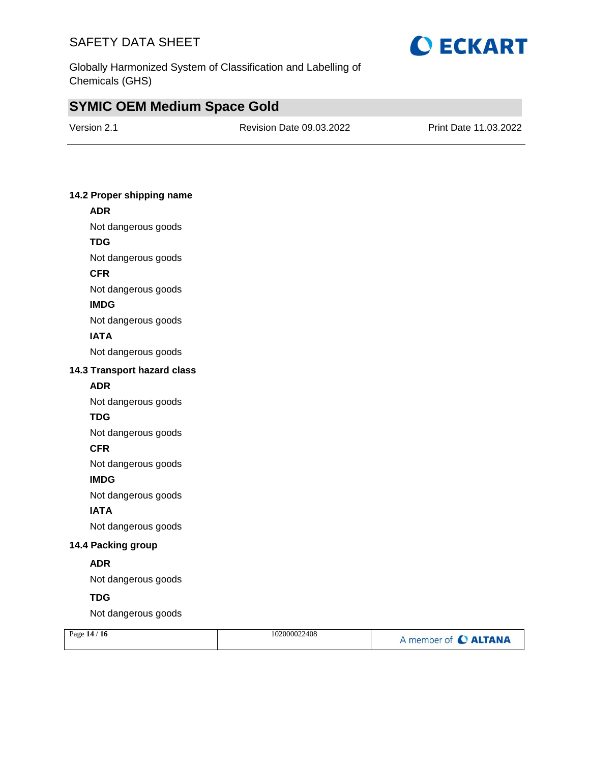

Globally Harmonized System of Classification and Labelling of Chemicals (GHS)

# **SYMIC OEM Medium Space Gold**

| Version 2.1 |  |
|-------------|--|
|-------------|--|

Revision Date 09.03.2022 Print Date 11.03.2022

#### **14.2 Proper shipping name**

# Not dangerous goods **TDG** Not dangerous goods

**CFR**

**ADR**

Not dangerous goods

#### **IMDG**

Not dangerous goods

#### **IATA**

Not dangerous goods

#### **14.3 Transport hazard class**

#### **ADR**

Not dangerous goods

#### **TDG**

Not dangerous goods

#### **CFR**

Not dangerous goods

#### **IMDG**

Not dangerous goods

#### **IATA**

Not dangerous goods

#### **14.4 Packing group**

#### **ADR**

Not dangerous goods

#### **TDG**

Not dangerous goods

| Page $14/16$ | 102000022408 | A member of C ALTANA |
|--------------|--------------|----------------------|
|              |              |                      |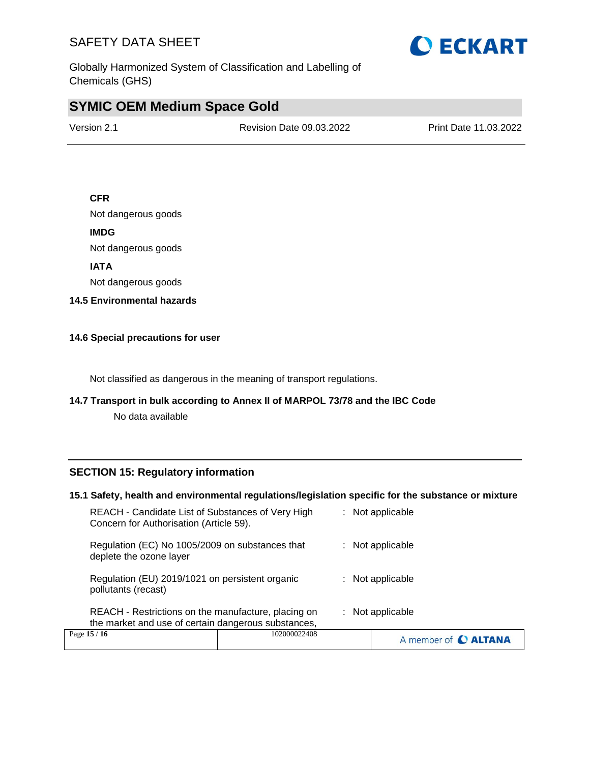

Globally Harmonized System of Classification and Labelling of Chemicals (GHS)

# **SYMIC OEM Medium Space Gold**

Version 2.1 Revision Date 09.03.2022 Print Date 11.03.2022

#### **CFR**

Not dangerous goods

#### **IMDG**

Not dangerous goods

#### **IATA**

Not dangerous goods

#### **14.5 Environmental hazards**

#### **14.6 Special precautions for user**

Not classified as dangerous in the meaning of transport regulations.

#### **14.7 Transport in bulk according to Annex II of MARPOL 73/78 and the IBC Code**

No data available

#### **SECTION 15: Regulatory information**

#### **15.1 Safety, health and environmental regulations/legislation specific for the substance or mixture**

| Page 15 / 16                                                                                               | 102000022408 | A member of <b>C ALTANA</b> |
|------------------------------------------------------------------------------------------------------------|--------------|-----------------------------|
| REACH - Restrictions on the manufacture, placing on<br>the market and use of certain dangerous substances, |              | $:$ Not applicable          |
| Regulation (EU) 2019/1021 on persistent organic<br>pollutants (recast)                                     |              | : Not applicable            |
| Regulation (EC) No 1005/2009 on substances that<br>deplete the ozone layer                                 |              | $:$ Not applicable          |
| REACH - Candidate List of Substances of Very High<br>Concern for Authorisation (Article 59).               |              | : Not applicable            |
|                                                                                                            |              |                             |